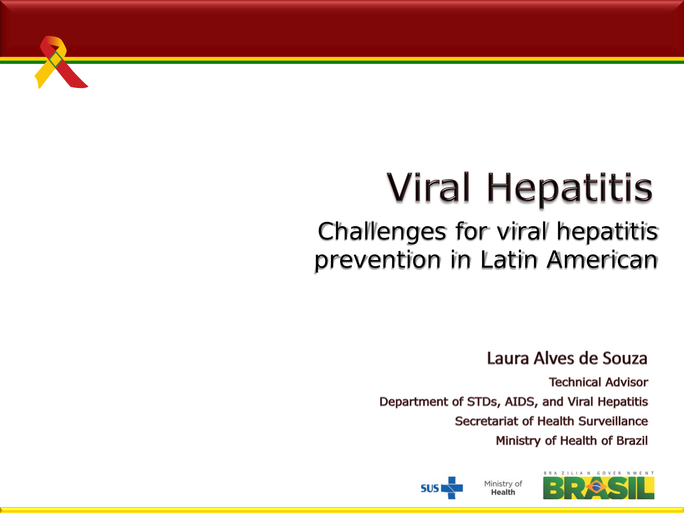

# **Viral Hepatitis**

### *Challenges for viral hepatitis prevention in Latin American*

Laura Alves de Souza

**Technical Advisor** Department of STDs, AIDS, and Viral Hepatitis Secretariat of Health Surveillance Ministry of Health of Brazil

**Health** 



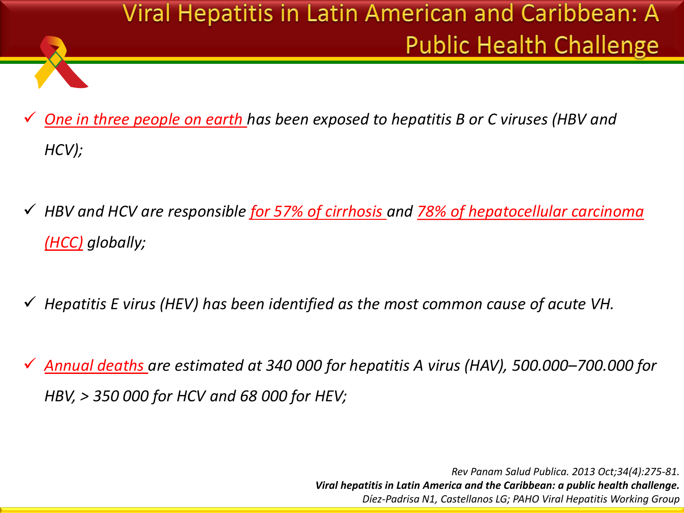

- *One in three people on earth has been exposed to hepatitis B or C viruses (HBV and HCV);*
- *HBV and HCV are responsible for 57% of cirrhosis and 78% of hepatocellular carcinoma (HCC) globally;*
- *Hepatitis E virus (HEV) has been identified as the most common cause of acute VH.*
- *Annual deaths are estimated at 340 000 for hepatitis A virus (HAV), 500.000–700.000 for HBV, > 350 000 for HCV and 68 000 for HEV;*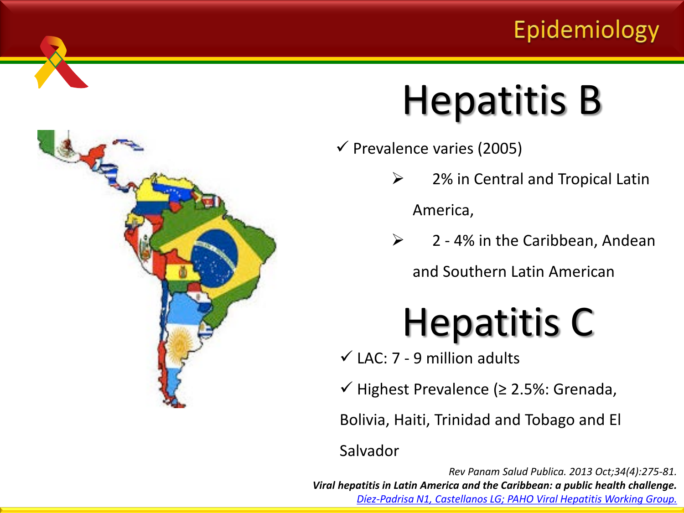### Epidemiology



# Hepatitis B

- $\checkmark$  Prevalence varies (2005)
	- $\geq$  2% in Central and Tropical Latin America,
	- $\geq$  2 4% in the Caribbean, Andean

and Southern Latin American

## Hepatitis C

- $\checkmark$  LAC: 7 9 million adults
- $\checkmark$  Highest Prevalence (≥ 2.5%: Grenada,

Bolivia, Haiti, Trinidad and Tobago and El

Salvador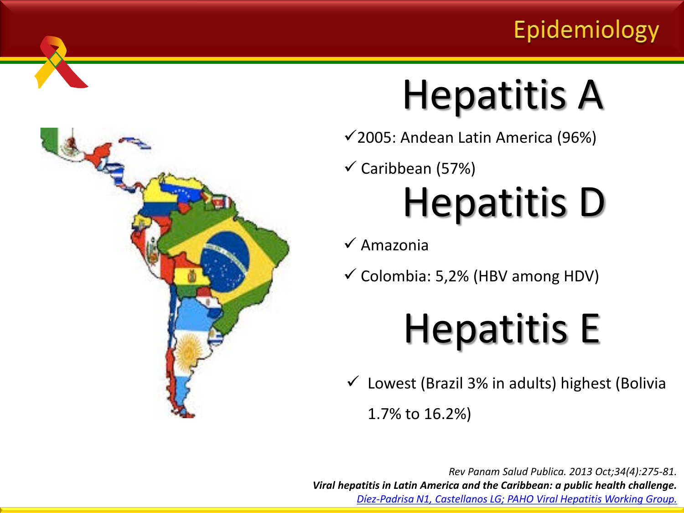### Epidemiology



# Hepatitis A

 $\checkmark$  2005: Andean Latin America (96%)

 $\checkmark$  Caribbean (57%)

# Hepatitis D

 $\checkmark$  Amazonia

 $\checkmark$  Colombia: 5,2% (HBV among HDV)

# Hepatitis E

 Lowest (Brazil 3% in adults) highest (Bolivia 1.7% to 16.2%)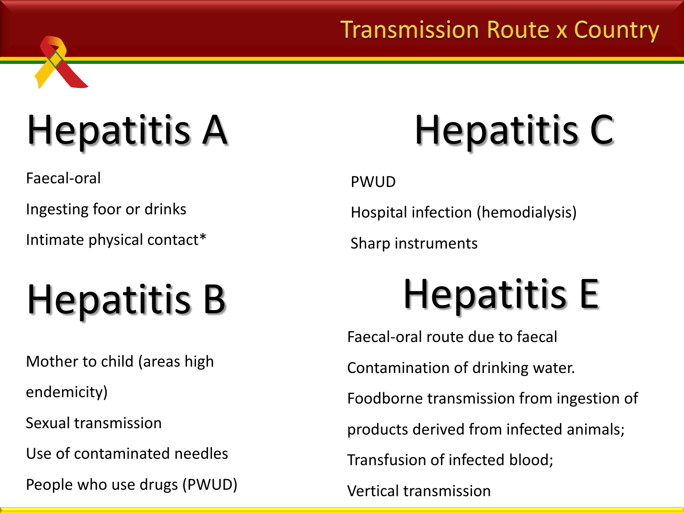### **Transmission Route x Country**

# Hepatitis A

Faecal-oral

Ingesting foor or drinks

Intimate physical contact\*

# Hepatitis B

Mother to child (areas high

endemicity)

Sexual transmission

Use of contaminated needles

People who use drugs (PWUD)

# Hepatitis C

PWUD

Hospital infection (hemodialysis)

Sharp instruments

# Hepatitis E

Faecal-oral route due to faecal Contamination of drinking water. Foodborne transmission from ingestion of products derived from infected animals; Transfusion of infected blood;

Vertical transmission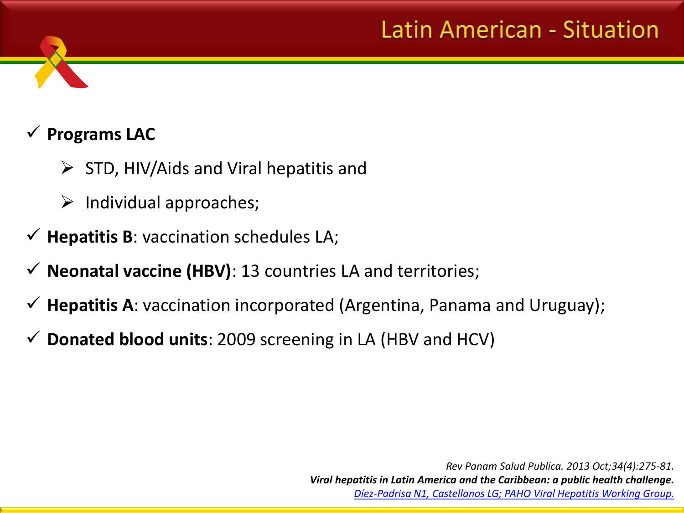### **Latin American - Situation**

#### **Programs LAC**

- $\triangleright$  STD, HIV/Aids and Viral hepatitis and
- $\triangleright$  Individual approaches;
- $\checkmark$  **Hepatitis B**: vaccination schedules LA;
- $\checkmark$  **Neonatal vaccine (HBV)**: 13 countries LA and territories;
- **Hepatitis A**: vaccination incorporated (Argentina, Panama and Uruguay);
- **Donated blood units**: 2009 screening in LA (HBV and HCV)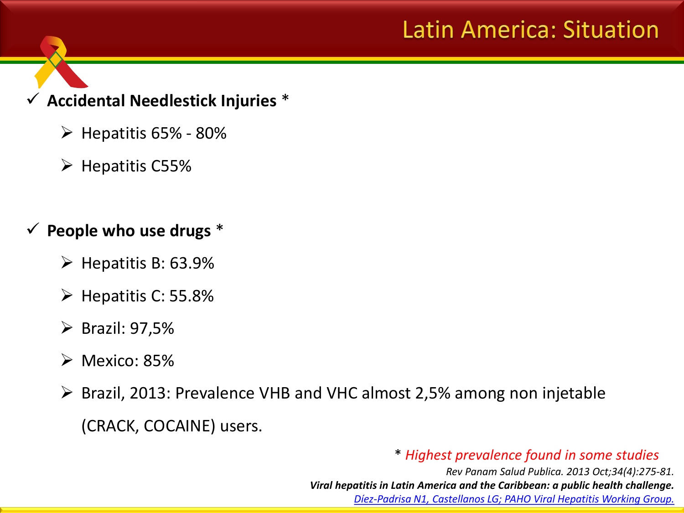### **Latin America: Situation**

#### **Accidental Needlestick Injuries** \*

- $\triangleright$  Hepatitis 65% 80%
- $\triangleright$  Hepatitis C55%

#### **People who use drugs** \*

- $\triangleright$  Hepatitis B: 63.9%
- $\triangleright$  Hepatitis C: 55.8%
- $\triangleright$  Brazil: 97,5%
- $\triangleright$  Mexico: 85%
- Brazil, 2013: Prevalence VHB and VHC almost 2,5% among non injetable

(CRACK, COCAINE) users.

#### \* *Highest prevalence found in some studies*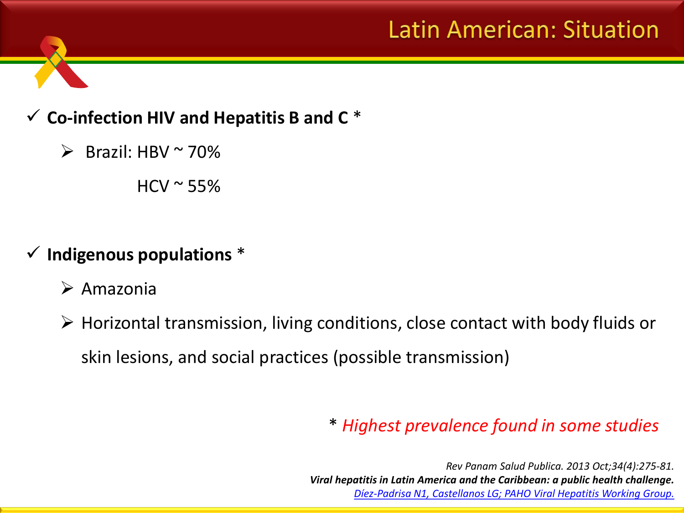### Latin American: Situation

#### **Co-infection HIV and Hepatitis B and C** \*

Brazil: HBV  $\sim$  70%

 $HCV \sim 55\%$ 

- **Indigenous populations** \*
	- $\triangleright$  Amazonia
	- Horizontal transmission, living conditions, close contact with body fluids or skin lesions, and social practices (possible transmission)

#### \* *Highest prevalence found in some studies*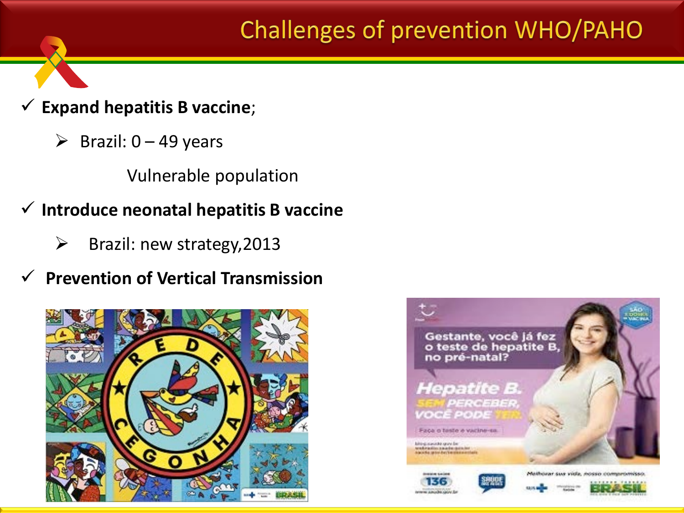### Challenges of prevention WHO/PAHO

- **Expand hepatitis B vaccine**;
	- $\triangleright$  Brazil: 0 49 years

Vulnerable population

- **Introduce neonatal hepatitis B vaccine**
	- $\triangleright$  Brazil: new strategy, 2013
- **Prevention of Vertical Transmission**



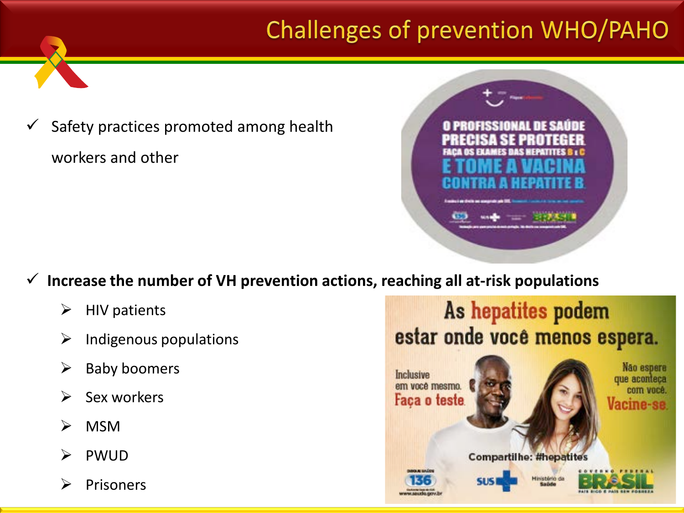## Challenges of prevention WHO/PAHO

 Safety practices promoted among health workers and other



- **Increase the number of VH prevention actions, reaching all at-risk populations**
	- $\triangleright$  HIV patients
	- $\triangleright$  Indigenous populations
	- $\triangleright$  Baby boomers
	- $\triangleright$  Sex workers
	- $\triangleright$  MSM
	- PWUD
	- Prisoners

### As hepatites podem estar onde você menos espera.

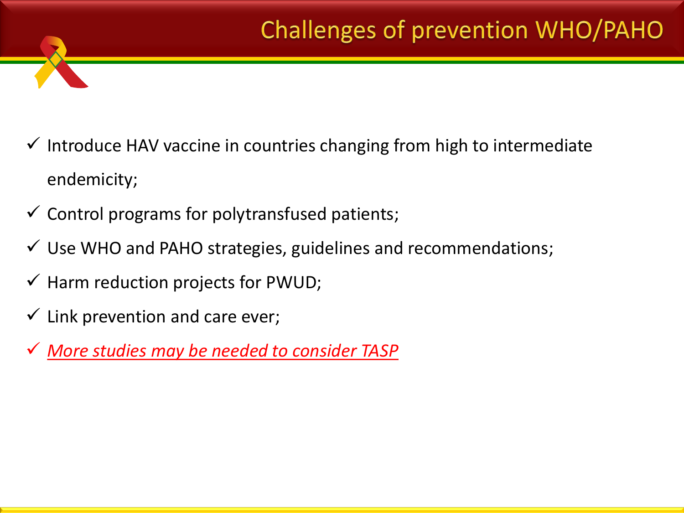## Challenges of prevention WHO/PAHO

- $\checkmark$  Introduce HAV vaccine in countries changing from high to intermediate endemicity;
- $\checkmark$  Control programs for polytransfused patients;
- $\checkmark$  Use WHO and PAHO strategies, guidelines and recommendations;
- $\checkmark$  Harm reduction projects for PWUD;
- $\checkmark$  Link prevention and care ever;
- *More studies may be needed to consider TASP*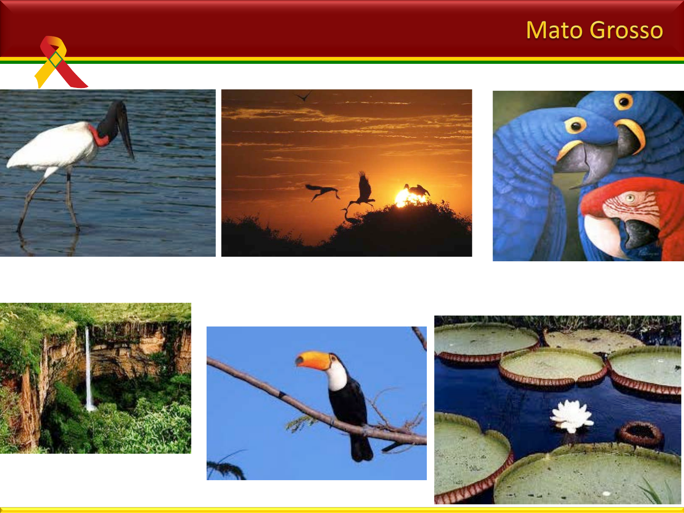### Mato Grosso











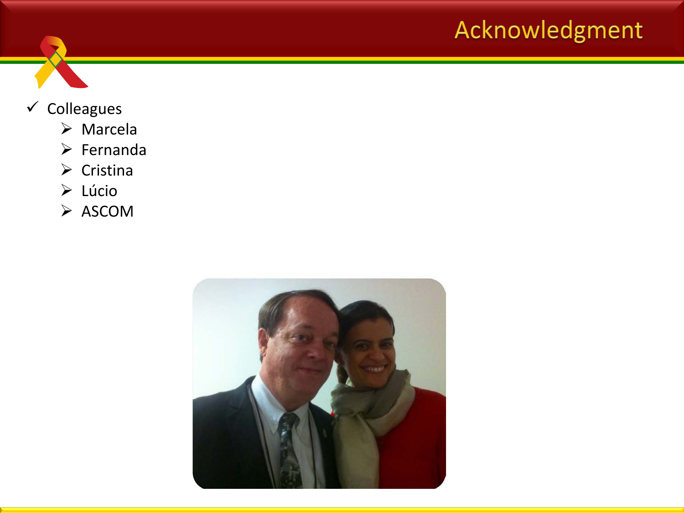### Acknowledgment



#### $\checkmark$  Colleagues

- Marcela
- $\triangleright$  Fernanda
- $\triangleright$  Cristina
- Lúcio
- $\triangleright$  ASCOM